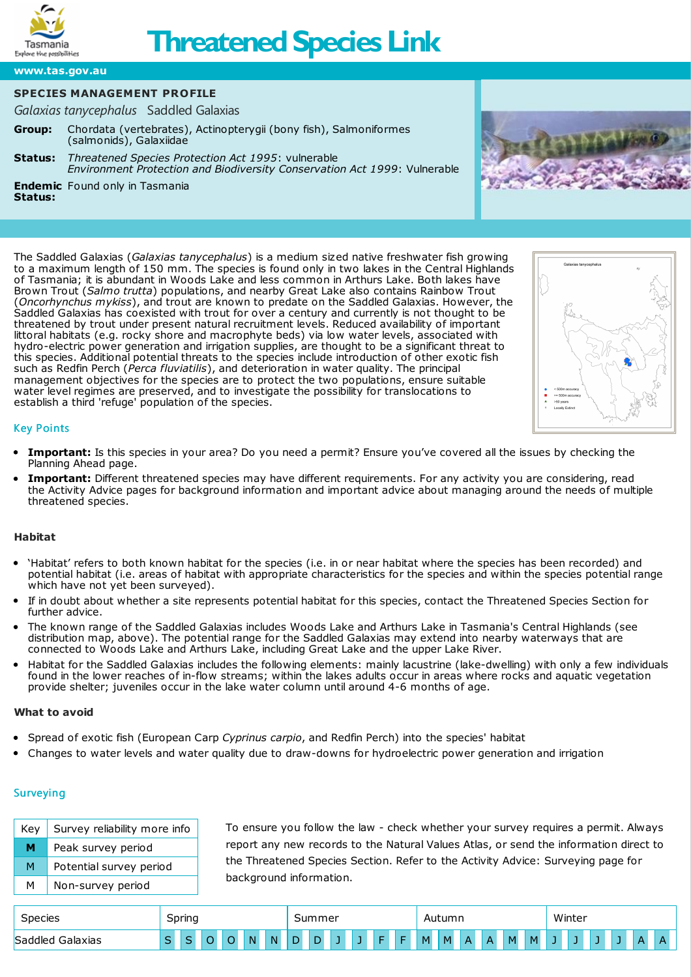

# **Threatened Species Link**

**[www.tas.gov.au](https://www.tas.gov.au)**

# **SPECIES MANAGEMENT PROFILE**

*Galaxias tanycephalus* Saddled Galaxias

- **Group:** Chordata (vertebrates), Actinopterygii (bony fish), Salmoniformes (salmonids), Galaxiidae
- **[Status:](http://www.nre.tas.gov.au/inter.nsf/WebPages/RLIG-5433LB?open)** *Threatened Species Protection Act 1995*: vulnerable *Environment Protection and Biodiversity Conservation Act 1999*: Vulnerable

**Endemic** Found only in Tasmania

**Status:**



The Saddled Galaxias (*Galaxias tanycephalus*) is a medium sized native freshwater fish growing to a maximum length of 150 mm. The species is found only in two lakes in the Central Highlands of Tasmania; it is abundant in Woods Lake and less common in Arthurs Lake. Both lakes have Brown Trout (*Salmo trutta*) populations, and nearby Great Lake also contains Rainbow Trout (*Oncorhynchus mykiss*), and trout are known to predate on the Saddled Galaxias. However, the Saddled Galaxias has coexisted with trout for over a century and currently is not thought to be threatened by trout under present natural recruitment levels. Reduced availability of important littoral habitats (e.g. rocky shore and macrophyte beds) via low water levels, associated with hydro-electric power generation and irrigation supplies, are thought to be a significant threat to this species. Additional potential threats to the species include introduction of other exotic fish such as Redfin Perch (*Perca fluviatilis*), and deterioration in water quality. The principal management objectives for the species are to protect the two populations, ensure suitable water level regimes are preserved, and to investigate the possibility for translocations to establish a third 'refuge' population of the species.



# Key Points

- **Important:** Is this species in your area? Do you need a permit? Ensure you've covered all the issues by checking the [Planning](https://www.threatenedspecieslink.tas.gov.au/Pages/planning-ahead.aspx) Ahead page.
- **Important:** Different threatened species may have different requirements. For any activity you are considering, read the [Activity](https://www.threatenedspecieslink.tas.gov.au/Pages/Activities.aspx) Advice pages for background information and important advice about managing around the needs of multiple threatened species.

# **Habitat**

- 'Habitat' refers to both known habitat for the species (i.e. in or near habitat where the species has been recorded) and potential habitat (i.e. areas of habitat with appropriate characteristics for the species and within the species potential range which have not yet been surveyed).
- If in doubt about whether a site represents potential habitat for this species, contact the [Threatened](https://www.threatenedspecieslink.tas.gov.au/Pages/Contact.aspx) Species Section for further advice.
- The known range of the Saddled Galaxias includes Woods Lake and Arthurs Lake in Tasmania's Central Highlands (see distribution map, above). The potential range for the Saddled Galaxias may extend into nearby waterways that are connected to Woods Lake and Arthurs Lake, including Great Lake and the upper Lake River.
- Habitat for the Saddled Galaxias includes the following elements: mainly lacustrine (lake-dwelling) with only a few individuals found in the lower reaches of in-flow streams; within the lakes adults occur in areas where rocks and aquatic vegetation provide shelter; juveniles occur in the lake water column until around 4-6 months of age.

# **What to avoid**

- Spread of exotic fish (European Carp *Cyprinus carpio*, and Redfin Perch) into the species' habitat
- Changes to water levels and water quality due to draw-downs for hydroelectric power generation and irrigation

# **Surveying**

| Key l | Survey reliability more info |
|-------|------------------------------|
| м     | Peak survey period           |
| M     | Potential survey period      |
| м     | Non-survey period            |

To ensure you follow the law - check whether your survey requires a permit. Always report any new records to the [Natural](https://www.naturalvaluesatlas.tas.gov.au/) Values Atlas, or send the information direct to the [Threatened](https://www.threatenedspecieslink.tas.gov.au/Pages/Contact.aspx) Species Section. Refer to the Activity Advice: [Surveying](https://www.threatenedspecieslink.tas.gov.au/pages/surveying.aspx) page for background information.

| Species             | <b>Spring</b><br>- |   |  |  |          |    | nmeı   |   |  |  |  |  | Autumn |    |   |  |   |   | Winter |  |  |  |  |   |  |
|---------------------|--------------------|---|--|--|----------|----|--------|---|--|--|--|--|--------|----|---|--|---|---|--------|--|--|--|--|---|--|
| Saddleg<br>Galaxias |                    | ~ |  |  | <b>N</b> | N. | G<br>◡ | ◡ |  |  |  |  | M.     | M. | А |  | M | м |        |  |  |  |  | n |  |